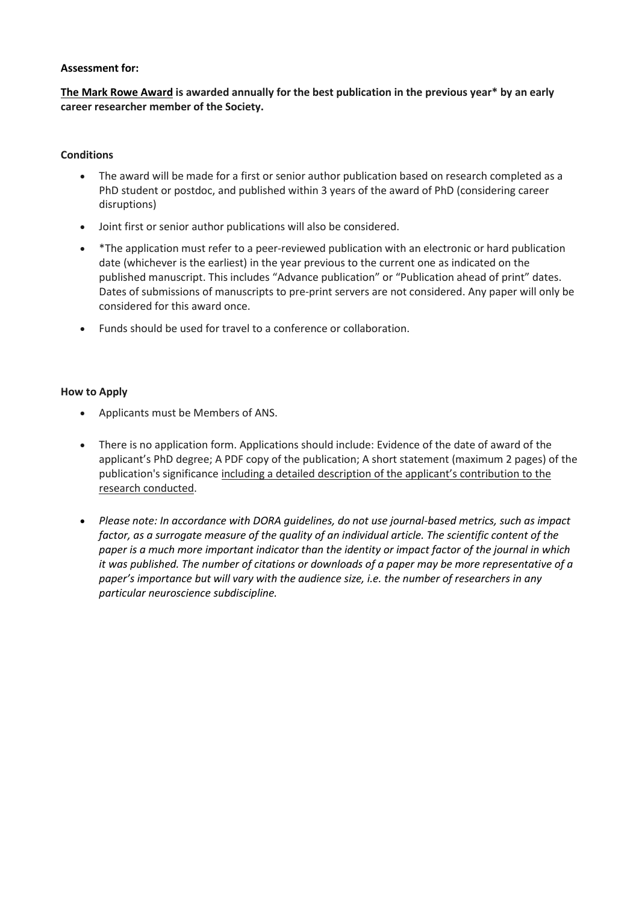# **Assessment for:**

**The Mark Rowe Award is awarded annually for the best publication in the previous year\* by an early career researcher member of the Society.**

# **Conditions**

- The award will be made for a first or senior author publication based on research completed as a PhD student or postdoc, and published within 3 years of the award of PhD (considering career disruptions)
- Joint first or senior author publications will also be considered.
- \*The application must refer to a peer-reviewed publication with an electronic or hard publication date (whichever is the earliest) in the year previous to the current one as indicated on the published manuscript. This includes "Advance publication" or "Publication ahead of print" dates. Dates of submissions of manuscripts to pre-print servers are not considered. Any paper will only be considered for this award once.
- Funds should be used for travel to a conference or collaboration.

### **How to Apply**

- Applicants must be Members of ANS.
- There is no application form. Applications should include: Evidence of the date of award of the applicant's PhD degree; A PDF copy of the publication; A short statement (maximum 2 pages) of the publication's significance including a detailed description of the applicant's contribution to the research conducted.
- *Please note: In accordance with DORA guidelines, do not use journal-based metrics, such as impact factor, as a surrogate measure of the quality of an individual article. The scientific content of the paper is a much more important indicator than the identity or impact factor of the journal in which it was published. The number of citations or downloads of a paper may be more representative of a paper's importance but will vary with the audience size, i.e. the number of researchers in any particular neuroscience subdiscipline.*